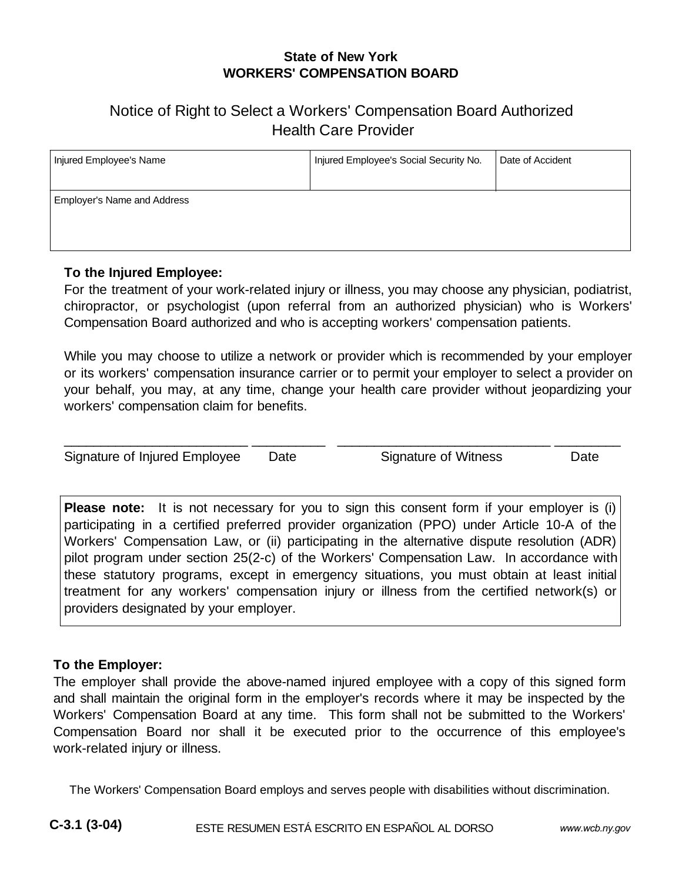## **State of New York WORKERS' COMPENSATION BOARD**

# Notice of Right to Select a Workers' Compensation Board Authorized Health Care Provider

| Injured Employee's Name            | Injured Employee's Social Security No. | Date of Accident |
|------------------------------------|----------------------------------------|------------------|
| <b>Employer's Name and Address</b> |                                        |                  |

## **To the Injured Employee:**

For the treatment of your work-related injury or illness, you may choose any physician, podiatrist, chiropractor, or psychologist (upon referral from an authorized physician) who is Workers' Compensation Board authorized and who is accepting workers' compensation patients.

While you may choose to utilize a network or provider which is recommended by your employer or its workers' compensation insurance carrier or to permit your employer to select a provider on your behalf, you may, at any time, change your health care provider without jeopardizing your workers' compensation claim for benefits.

\_\_\_\_\_\_\_\_\_\_\_\_\_\_\_\_\_\_\_\_\_\_\_\_\_ \_\_\_\_\_\_\_\_\_\_ \_\_\_\_\_\_\_\_\_\_\_\_\_\_\_\_\_\_\_\_\_\_\_\_\_\_\_\_\_ \_\_\_\_\_\_\_\_\_

Signature of Injured Employee Date Signature of Witness Date

**Please note:** It is not necessary for you to sign this consent form if your employer is (i) participating in a certified preferred provider organization (PPO) under Article 10-A of the Workers' Compensation Law, or (ii) participating in the alternative dispute resolution (ADR) pilot program under section 25(2-c) of the Workers' Compensation Law. In accordance with these statutory programs, except in emergency situations, you must obtain at least initial treatment for any workers' compensation injury or illness from the certified network(s) or providers designated by your employer.

### **To the Employer:**

The employer shall provide the above-named injured employee with a copy of this signed form and shall maintain the original form in the employer's records where it may be inspected by the Workers' Compensation Board at any time. This form shall not be submitted to the Workers' Compensation Board nor shall it be executed prior to the occurrence of this employee's work-related injury or illness.

The Workers' Compensation Board employs and serves people with disabilities without discrimination.